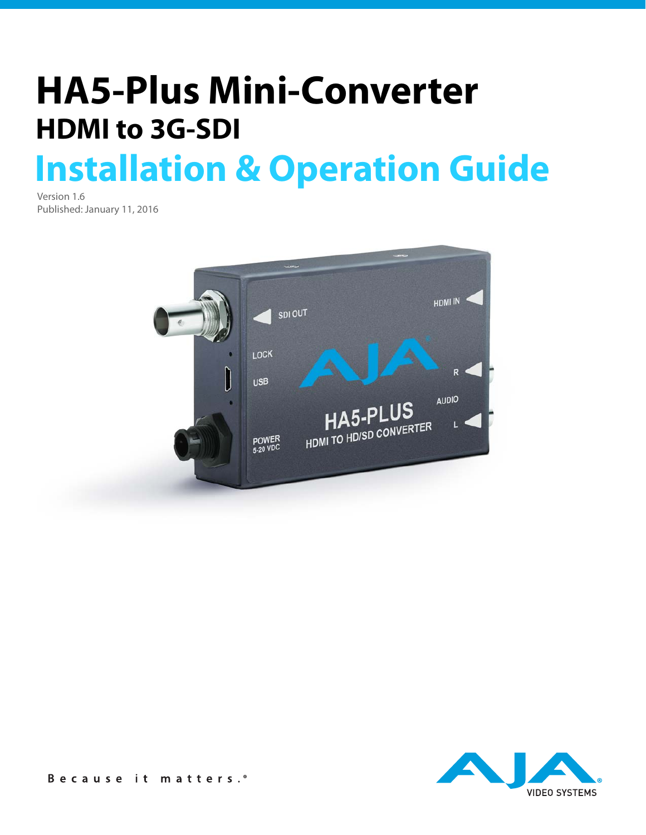# **Installation & Operation Guide HA5-Plus Mini-Converter HDMI to 3G-SDI**

Version 1.6 Published: January 11, 2016



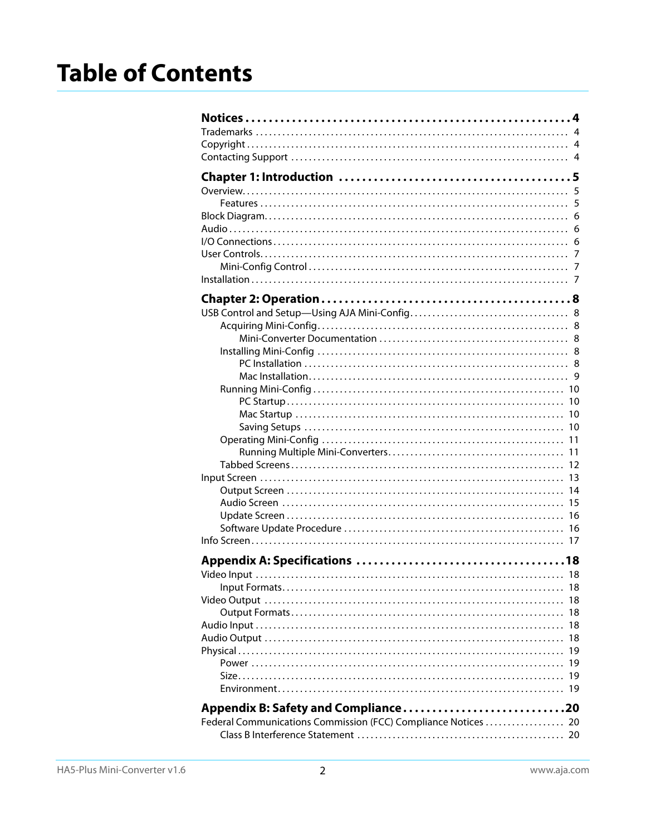## **Table of Contents**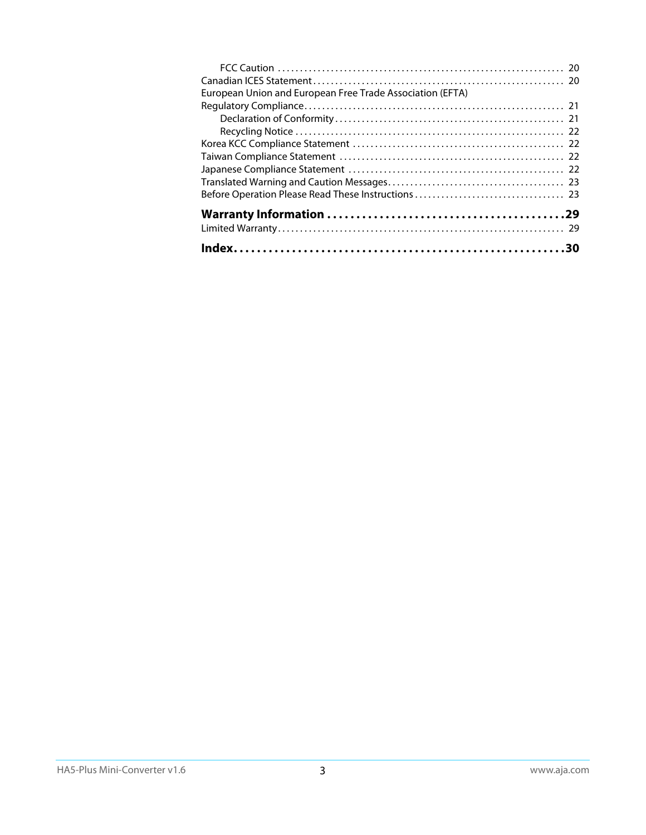| European Union and European Free Trade Association (EFTA) |  |
|-----------------------------------------------------------|--|
|                                                           |  |
|                                                           |  |
|                                                           |  |
|                                                           |  |
|                                                           |  |
|                                                           |  |
|                                                           |  |
|                                                           |  |
|                                                           |  |
|                                                           |  |
|                                                           |  |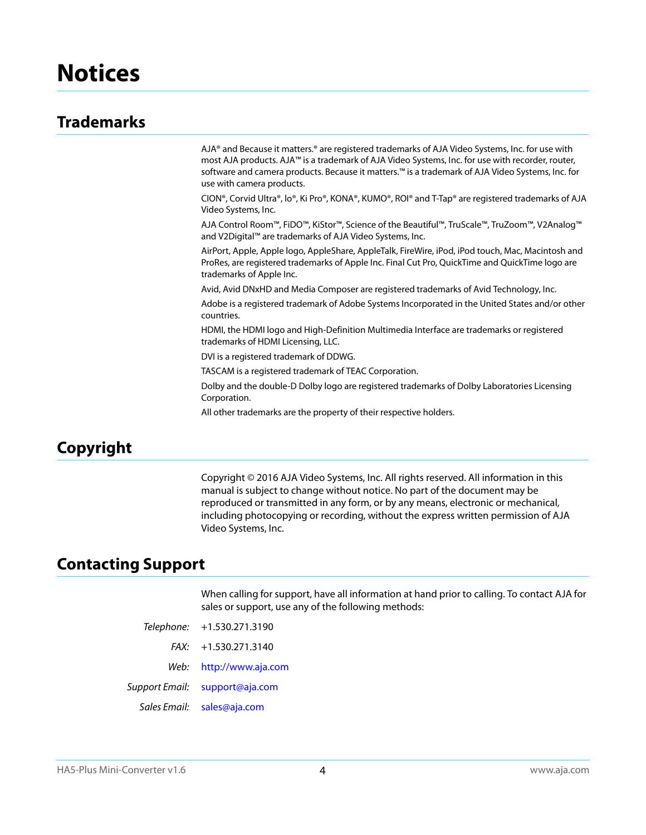## <span id="page-3-1"></span><span id="page-3-0"></span>**Trademarks**

AJA® and Because it matters.® are registered trademarks of AJA Video Systems, Inc. for use with most AJA products. AJA™ is a trademark of AJA Video Systems, Inc. for use with recorder, router, software and camera products. Because it matters.™ is a trademark of AJA Video Systems, Inc. for use with camera products.

CION®, Corvid Ultra®, lo®, Ki Pro®, KONA®, KUMO®, ROI® and T-Tap® are registered trademarks of AJA Video Systems, Inc.

AJA Control Room™, FiDO™, KiStor™, Science of the Beautiful™, TruScale™, TruZoom™, V2Analog™ and V2Digital™ are trademarks of AJA Video Systems, Inc.

AirPort, Apple, Apple logo, AppleShare, AppleTalk, FireWire, iPod, iPod touch, Mac, Macintosh and ProRes, are registered trademarks of Apple Inc. Final Cut Pro, QuickTime and QuickTime logo are trademarks of Apple Inc.

Avid, Avid DNxHD and Media Composer are registered trademarks of Avid Technology, Inc.

Adobe is a registered trademark of Adobe Systems Incorporated in the United States and/or other countries.

HDMI, the HDMI logo and High-Definition Multimedia Interface are trademarks or registered trademarks of HDMI Licensing, LLC.

DVI is a registered trademark of DDWG.

TASCAM is a registered trademark of TEAC Corporation.

Dolby and the double-D Dolby logo are registered trademarks of Dolby Laboratories Licensing Corporation.

All other trademarks are the property of their respective holders.

## <span id="page-3-2"></span>**Copyright**

Copyright © 2016 AJA Video Systems, Inc. All rights reserved. All information in this manual is subject to change without notice. No part of the document may be reproduced or transmitted in any form, or by any means, electronic or mechanical, including photocopying or recording, without the express written permission of AJA Video Systems, Inc.

## <span id="page-3-3"></span>**Contacting Support**

When calling for support, have all information at hand prior to calling. To contact AJA for sales or support, use any of the following methods:

|      | Telephone: +1.530.271.3190            |
|------|---------------------------------------|
|      | $FAX: +1.530.271.3140$                |
| Web: | http://www.aja.com                    |
|      | <i>Support Email:</i> support@aja.com |
|      | Sales Email: sales@aja.com            |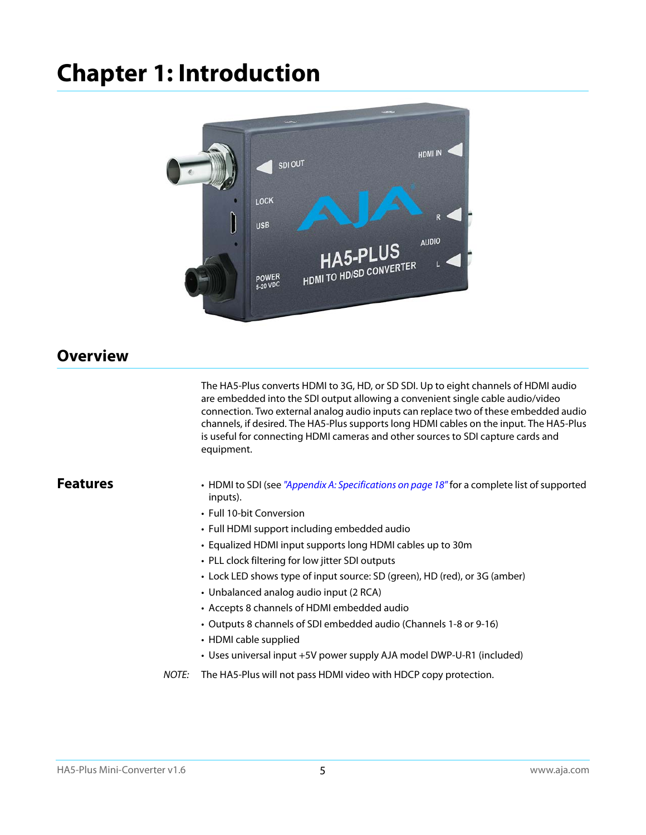## <span id="page-4-0"></span>**Chapter 1: Introduction**



## <span id="page-4-5"></span><span id="page-4-1"></span>**Overview**

<span id="page-4-4"></span>The HA5-Plus converts HDMI to 3G, HD, or SD SDI. Up to eight channels of HDMI audio are embedded into the SDI output allowing a convenient single cable audio/video connection. Two external analog audio inputs can replace two of these embedded audio channels, if desired. The HA5-Plus supports long HDMI cables on the input. The HA5-Plus is useful for connecting HDMI cameras and other sources to SDI capture cards and equipment.

- <span id="page-4-3"></span><span id="page-4-2"></span>**Features** • HDMI to SDI (see ["Appendix A: Specifications on page 18"](#page-17-7) for a complete list of supported inputs).
	- Full 10-bit Conversion
	- Full HDMI support including embedded audio
	- Equalized HDMI input supports long HDMI cables up to 30m
	- PLL clock filtering for low jitter SDI outputs
	- Lock LED shows type of input source: SD (green), HD (red), or 3G (amber)
	- Unbalanced analog audio input (2 RCA)
	- Accepts 8 channels of HDMI embedded audio
	- Outputs 8 channels of SDI embedded audio (Channels 1-8 or 9-16)
	- HDMI cable supplied
	- Uses universal input +5V power supply AJA model DWP-U-R1 (included)
	- NOTE: The HA5-Plus will not pass HDMI video with HDCP copy protection.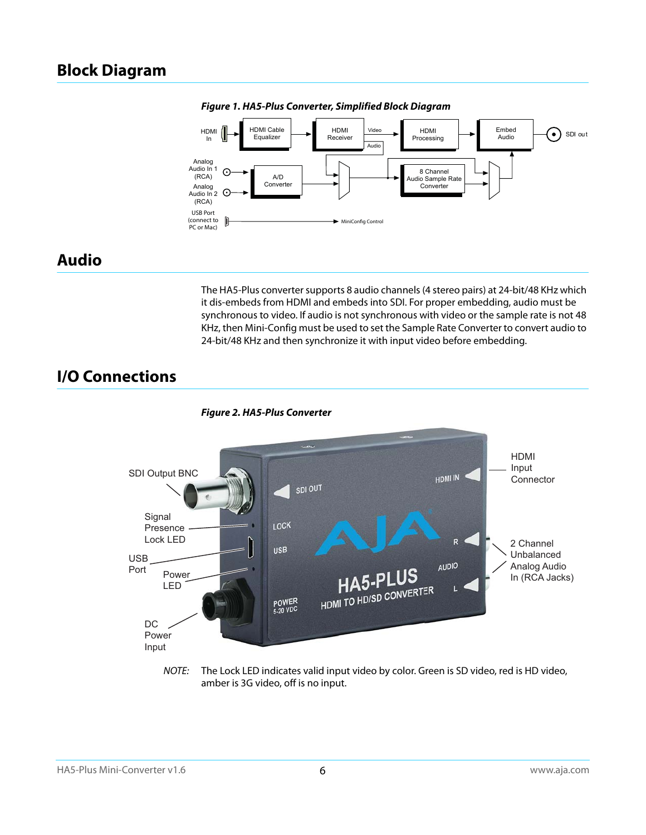## <span id="page-5-3"></span><span id="page-5-0"></span>**Block Diagram**



*Figure 1. HA5-Plus Converter, Simplified Block Diagram*

## <span id="page-5-1"></span>**Audio**

The HA5-Plus converter supports 8 audio channels (4 stereo pairs) at 24-bit/48 KHz which it dis-embeds from HDMI and embeds into SDI. For proper embedding, audio must be synchronous to video. If audio is not synchronous with video or the sample rate is not 48 KHz, then Mini-Config must be used to set the Sample Rate Converter to convert audio to 24-bit/48 KHz and then synchronize it with input video before embedding.

## <span id="page-5-2"></span>**I/O Connections**



NOTE: The Lock LED indicates valid input video by color. Green is SD video, red is HD video, amber is 3G video, off is no input.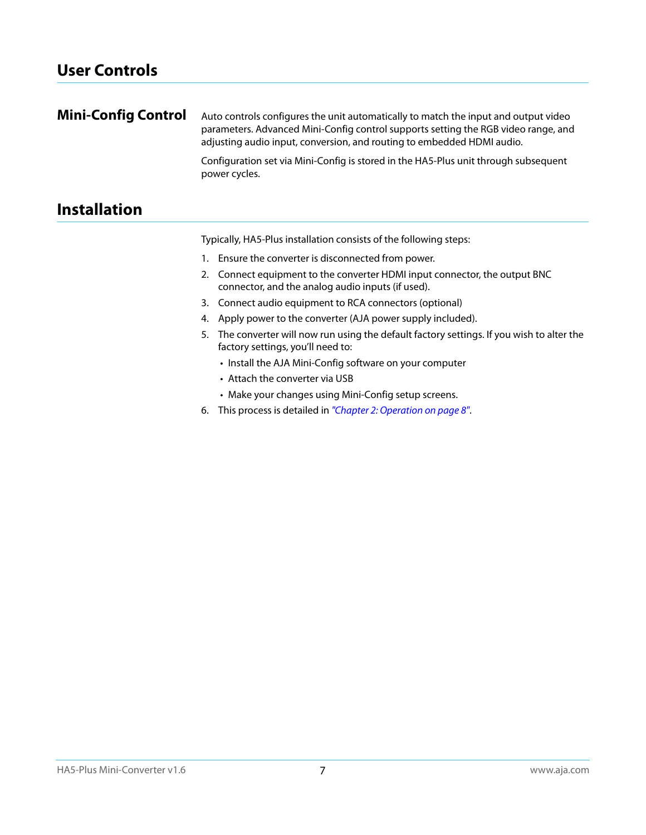<span id="page-6-1"></span><span id="page-6-0"></span>

| <b>Mini-Config Control</b> | Auto controls configures the unit automatically to match the input and output video<br>parameters. Advanced Mini-Config control supports setting the RGB video range, and<br>adjusting audio input, conversion, and routing to embedded HDMI audio. |
|----------------------------|-----------------------------------------------------------------------------------------------------------------------------------------------------------------------------------------------------------------------------------------------------|
|                            | Configuration set via Mini-Config is stored in the HA5-Plus unit through subsequent<br>power cycles.                                                                                                                                                |

## <span id="page-6-2"></span>**Installation**

Typically, HA5-Plus installation consists of the following steps:

- 1. Ensure the converter is disconnected from power.
- 2. Connect equipment to the converter HDMI input connector, the output BNC connector, and the analog audio inputs (if used).
- 3. Connect audio equipment to RCA connectors (optional)
- 4. Apply power to the converter (AJA power supply included).
- 5. The converter will now run using the default factory settings. If you wish to alter the factory settings, you'll need to:
	- Install the AJA Mini-Config software on your computer
	- Attach the converter via USB
	- Make your changes using Mini-Config setup screens.
- 6. This process is detailed in ["Chapter 2: Operation on page 8"](#page-7-6).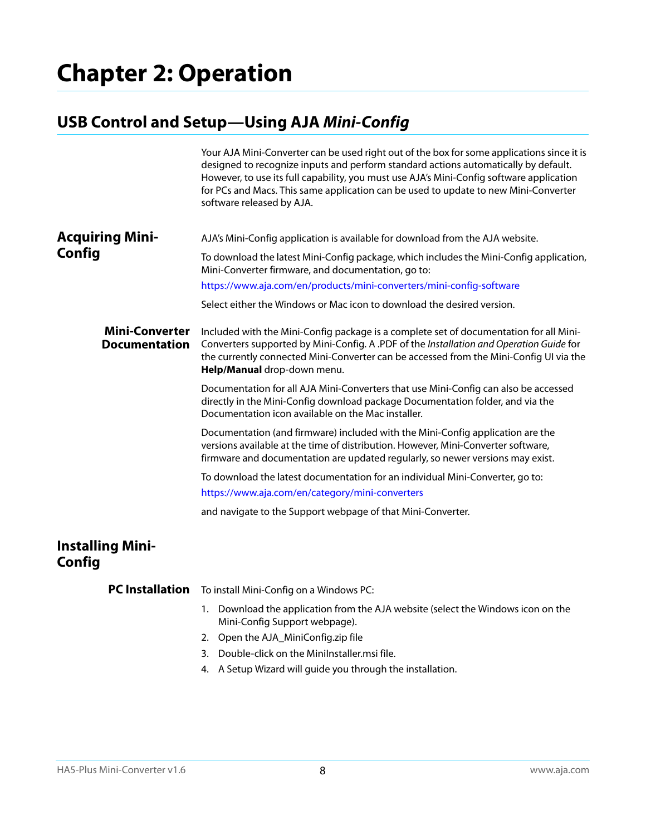## <span id="page-7-6"></span><span id="page-7-1"></span><span id="page-7-0"></span>**USB Control and Setup—Using AJA** *Mini-Config*

<span id="page-7-9"></span><span id="page-7-8"></span><span id="page-7-3"></span><span id="page-7-2"></span>

|                                               | Your AJA Mini-Converter can be used right out of the box for some applications since it is<br>designed to recognize inputs and perform standard actions automatically by default.<br>However, to use its full capability, you must use AJA's Mini-Config software application<br>for PCs and Macs. This same application can be used to update to new Mini-Converter<br>software released by AJA. |
|-----------------------------------------------|---------------------------------------------------------------------------------------------------------------------------------------------------------------------------------------------------------------------------------------------------------------------------------------------------------------------------------------------------------------------------------------------------|
| <b>Acquiring Mini-</b><br>Config              | AJA's Mini-Config application is available for download from the AJA website.                                                                                                                                                                                                                                                                                                                     |
|                                               | To download the latest Mini-Config package, which includes the Mini-Config application,<br>Mini-Converter firmware, and documentation, go to:                                                                                                                                                                                                                                                     |
|                                               | https://www.aja.com/en/products/mini-converters/mini-config-software                                                                                                                                                                                                                                                                                                                              |
|                                               | Select either the Windows or Mac icon to download the desired version.                                                                                                                                                                                                                                                                                                                            |
| <b>Mini-Converter</b><br><b>Documentation</b> | Included with the Mini-Config package is a complete set of documentation for all Mini-<br>Converters supported by Mini-Config. A .PDF of the Installation and Operation Guide for<br>the currently connected Mini-Converter can be accessed from the Mini-Config UI via the<br>Help/Manual drop-down menu.                                                                                        |
|                                               | Documentation for all AJA Mini-Converters that use Mini-Config can also be accessed<br>directly in the Mini-Config download package Documentation folder, and via the<br>Documentation icon available on the Mac installer.                                                                                                                                                                       |
|                                               | Documentation (and firmware) included with the Mini-Config application are the<br>versions available at the time of distribution. However, Mini-Converter software,<br>firmware and documentation are updated regularly, so newer versions may exist.                                                                                                                                             |
|                                               | To download the latest documentation for an individual Mini-Converter, go to:                                                                                                                                                                                                                                                                                                                     |
|                                               | https://www.aja.com/en/category/mini-converters                                                                                                                                                                                                                                                                                                                                                   |
|                                               | and navigate to the Support webpage of that Mini-Converter.                                                                                                                                                                                                                                                                                                                                       |
| <b>Installing Mini-</b><br>Config             |                                                                                                                                                                                                                                                                                                                                                                                                   |
| <b>PC</b> Installation                        | To install Mini-Config on a Windows PC:                                                                                                                                                                                                                                                                                                                                                           |

- <span id="page-7-10"></span><span id="page-7-7"></span><span id="page-7-5"></span><span id="page-7-4"></span>1. Download the application from the AJA website (select the Windows icon on the Mini-Config Support webpage).
- 2. Open the AJA\_MiniConfig.zip file
- 3. Double-click on the MiniInstaller.msi file.
- 4. A Setup Wizard will guide you through the installation.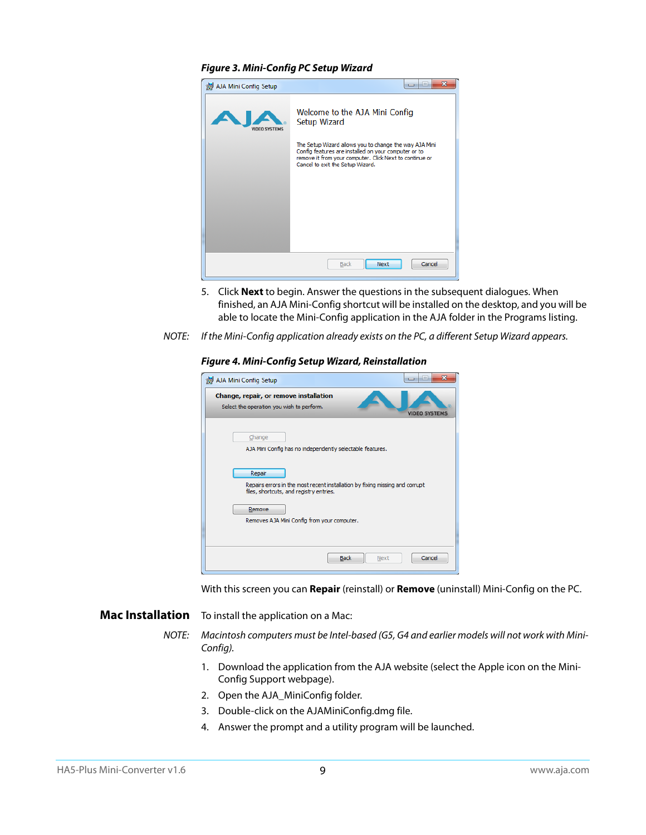#### *Figure 3. Mini-Config PC Setup Wizard*

| AJA Mini Config Setup | X<br>$\left  \alpha \right $<br>$\overline{\phantom{a}}$                                                                                                                                                      |
|-----------------------|---------------------------------------------------------------------------------------------------------------------------------------------------------------------------------------------------------------|
| VIDEO SYSTEMS         | Welcome to the AJA Mini Config<br>Setup Wizard                                                                                                                                                                |
|                       | The Setup Wizard allows you to change the way AJA Mini<br>Config features are installed on your computer or to<br>remove it from your computer. Click Next to continue or<br>Cancel to exit the Setup Wizard. |
|                       |                                                                                                                                                                                                               |
|                       |                                                                                                                                                                                                               |
|                       | Cancel<br><b>Back</b><br>Next                                                                                                                                                                                 |

- 5. Click **Next** to begin. Answer the questions in the subsequent dialogues. When finished, an AJA Mini-Config shortcut will be installed on the desktop, and you will be able to locate the Mini-Config application in the AJA folder in the Programs listing.
- NOTE: If the Mini-Config application already exists on the PC, a different Setup Wizard appears.

#### *Figure 4. Mini-Config Setup Wizard, Reinstallation*

| AJA Mini Config Setup                                                                                                             | x<br>$\equiv$<br>▭   |
|-----------------------------------------------------------------------------------------------------------------------------------|----------------------|
| Change, repair, or remove installation<br>Select the operation you wish to perform.                                               | <b>VIDEO SYSTEMS</b> |
| Change<br>AJA Mini Config has no independently selectable features.                                                               |                      |
| Repair<br>Repairs errors in the most recent installation by fixing missing and corrupt<br>files, shortcuts, and registry entries. |                      |
| Remove<br>Removes AJA Mini Config from your computer.                                                                             |                      |
| <b>Back</b><br>Next                                                                                                               | Cancel               |

With this screen you can **Repair** (reinstall) or **Remove** (uninstall) Mini-Config on the PC.

<span id="page-8-1"></span><span id="page-8-0"></span>**Mac Installation** To install the application on a Mac:

NOTE: Macintosh computers must be Intel-based (G5, G4 and earlier models will not work with Mini-Config).

- 1. Download the application from the AJA website (select the Apple icon on the Mini-Config Support webpage).
- 2. Open the AJA\_MiniConfig folder.
- 3. Double-click on the AJAMiniConfig.dmg file.
- 4. Answer the prompt and a utility program will be launched.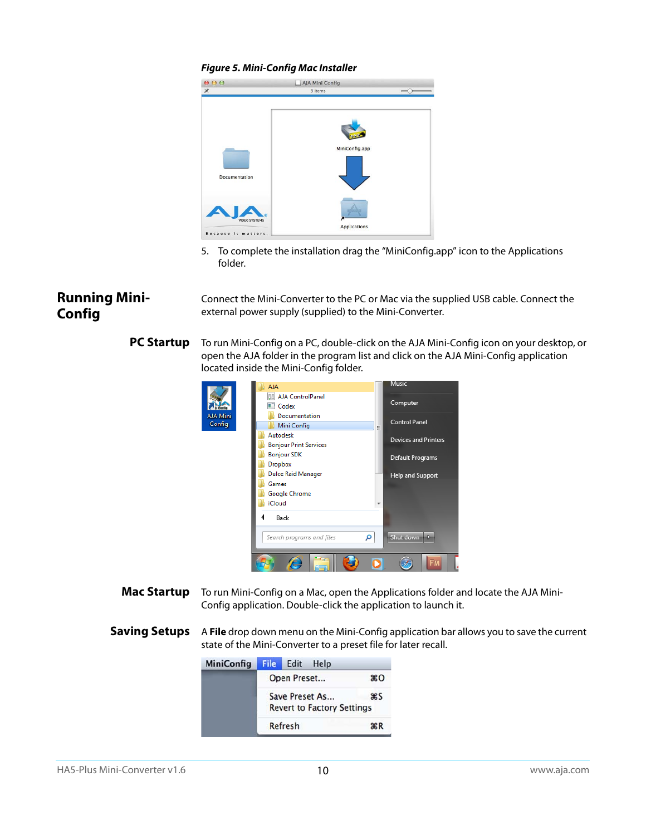#### *Figure 5. Mini-Config Mac Installer*



5. To complete the installation drag the "MiniConfig.app" icon to the Applications folder.

### <span id="page-9-1"></span><span id="page-9-0"></span>**Running Mini-Config**

Connect the Mini-Converter to the PC or Mac via the supplied USB cable. Connect the external power supply (supplied) to the Mini-Converter.

#### <span id="page-9-4"></span>**PC Startup** To run Mini-Config on a PC, double-click on the AJA Mini-Config icon on your desktop, or open the AJA folder in the program list and click on the AJA Mini-Config application located inside the Mini-Config folder.



- <span id="page-9-2"></span>**Mac Startup** To run Mini-Config on a Mac, open the Applications folder and locate the AJA Mini-Config application. Double-click the application to launch it.
- <span id="page-9-3"></span>**Saving Setups** A File drop down menu on the Mini-Config application bar allows you to save the current state of the Mini-Converter to a preset file for later recall.

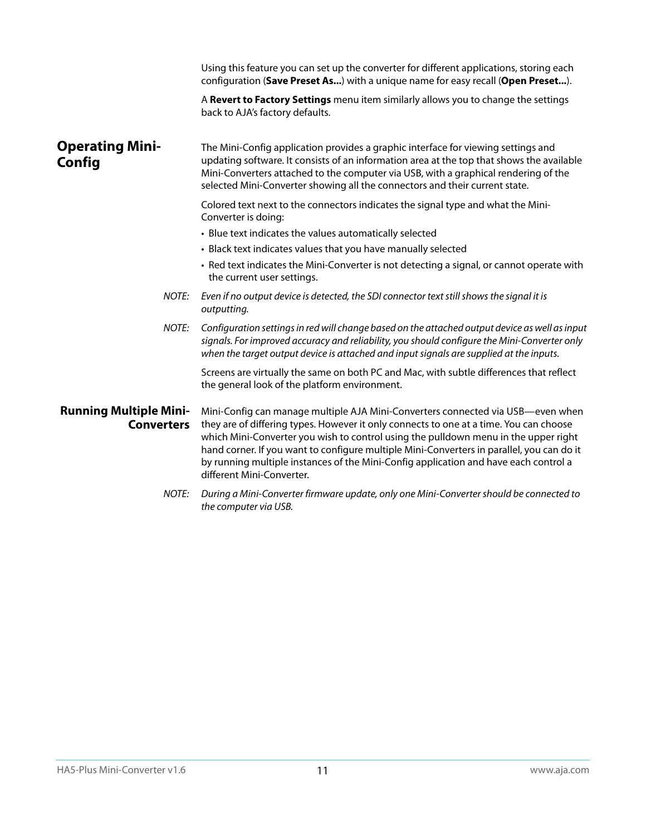<span id="page-10-3"></span><span id="page-10-2"></span><span id="page-10-1"></span><span id="page-10-0"></span>

|                                                    | Using this feature you can set up the converter for different applications, storing each<br>configuration (Save Preset As) with a unique name for easy recall (Open Preset).                                                                                                                                                                                                                                                                                                       |
|----------------------------------------------------|------------------------------------------------------------------------------------------------------------------------------------------------------------------------------------------------------------------------------------------------------------------------------------------------------------------------------------------------------------------------------------------------------------------------------------------------------------------------------------|
|                                                    | A Revert to Factory Settings menu item similarly allows you to change the settings<br>back to AJA's factory defaults.                                                                                                                                                                                                                                                                                                                                                              |
| <b>Operating Mini-</b><br>Config                   | The Mini-Config application provides a graphic interface for viewing settings and<br>updating software. It consists of an information area at the top that shows the available<br>Mini-Converters attached to the computer via USB, with a graphical rendering of the<br>selected Mini-Converter showing all the connectors and their current state.                                                                                                                               |
|                                                    | Colored text next to the connectors indicates the signal type and what the Mini-<br>Converter is doing:                                                                                                                                                                                                                                                                                                                                                                            |
|                                                    | • Blue text indicates the values automatically selected                                                                                                                                                                                                                                                                                                                                                                                                                            |
|                                                    | • Black text indicates values that you have manually selected                                                                                                                                                                                                                                                                                                                                                                                                                      |
|                                                    | • Red text indicates the Mini-Converter is not detecting a signal, or cannot operate with<br>the current user settings.                                                                                                                                                                                                                                                                                                                                                            |
| NOTE:                                              | Even if no output device is detected, the SDI connector text still shows the signal it is<br>outputting.                                                                                                                                                                                                                                                                                                                                                                           |
| NOTE:                                              | Configuration settings in red will change based on the attached output device as well as input<br>signals. For improved accuracy and reliability, you should configure the Mini-Converter only<br>when the target output device is attached and input signals are supplied at the inputs.                                                                                                                                                                                          |
|                                                    | Screens are virtually the same on both PC and Mac, with subtle differences that reflect<br>the general look of the platform environment.                                                                                                                                                                                                                                                                                                                                           |
| <b>Running Multiple Mini-</b><br><b>Converters</b> | Mini-Config can manage multiple AJA Mini-Converters connected via USB-even when<br>they are of differing types. However it only connects to one at a time. You can choose<br>which Mini-Converter you wish to control using the pulldown menu in the upper right<br>hand corner. If you want to configure multiple Mini-Converters in parallel, you can do it<br>by running multiple instances of the Mini-Config application and have each control a<br>different Mini-Converter. |
| <b>NOTE:</b>                                       | During a Mini-Converter firmware update, only one Mini-Converter should be connected to<br>the computer via USB.                                                                                                                                                                                                                                                                                                                                                                   |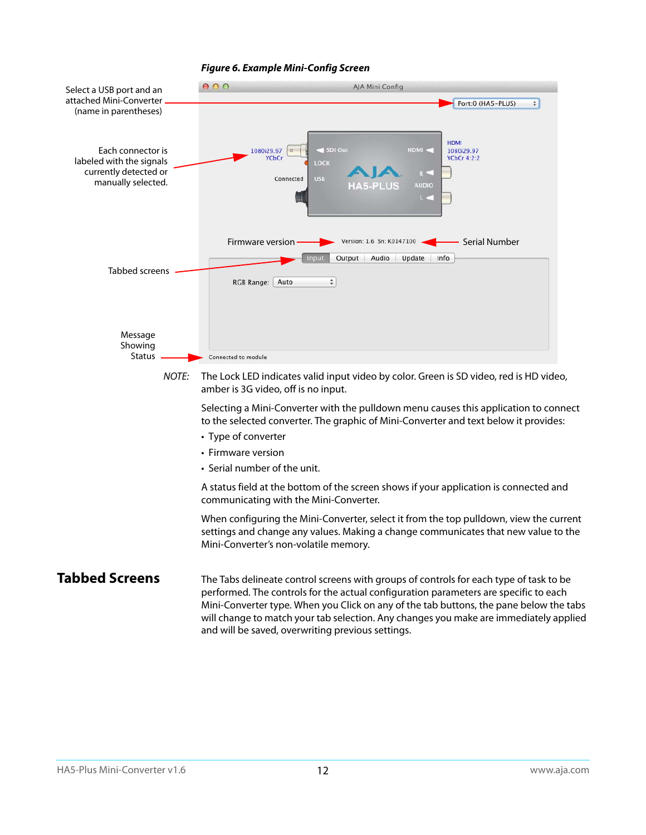

#### <span id="page-11-1"></span>*Figure 6. Example Mini-Config Screen*

<span id="page-11-0"></span>**Tabbed Screens** The Tabs delineate control screens with groups of controls for each type of task to be performed. The controls for the actual configuration parameters are specific to each Mini-Converter type. When you Click on any of the tab buttons, the pane below the tabs will change to match your tab selection. Any changes you make are immediately applied and will be saved, overwriting previous settings.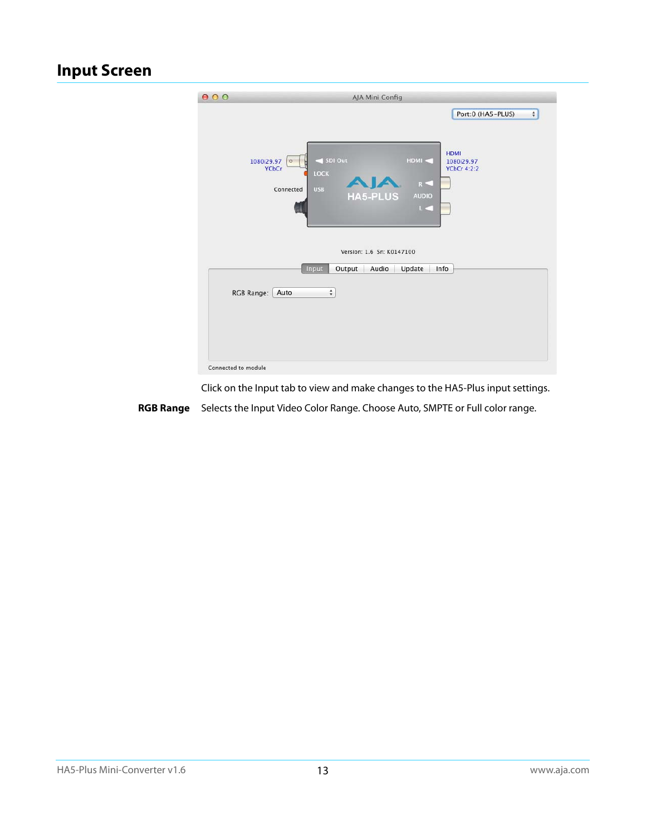## <span id="page-12-1"></span><span id="page-12-0"></span>**Input Screen**

| 000                 | AJA Mini Config                                                                                                                                      |
|---------------------|------------------------------------------------------------------------------------------------------------------------------------------------------|
|                     | Port:0 (HA5-PLUS)<br>$\div$<br><b>HDMI</b><br>SDI Out<br>HDMI <<br>1080i29.97<br>1080i29.97<br>$\circ$<br><b>YCbCr</b><br><b>YCbCr 4:2:2</b><br>LOCK |
|                     | $R -$<br><b>USB</b><br>Connected<br><b>HA5-PLUS</b><br><b>AUDIO</b><br>L.C                                                                           |
|                     | Version: 1.6 Sn: K0147100                                                                                                                            |
|                     | Output<br>Audio<br>Update<br>Info<br>Input<br>$\div$<br>RGB Range:<br>Auto                                                                           |
| Connected to module |                                                                                                                                                      |

Click on the Input tab to view and make changes to the HA5-Plus input settings.

<span id="page-12-2"></span>**RGB Range** Selects the Input Video Color Range. Choose Auto, SMPTE or Full color range.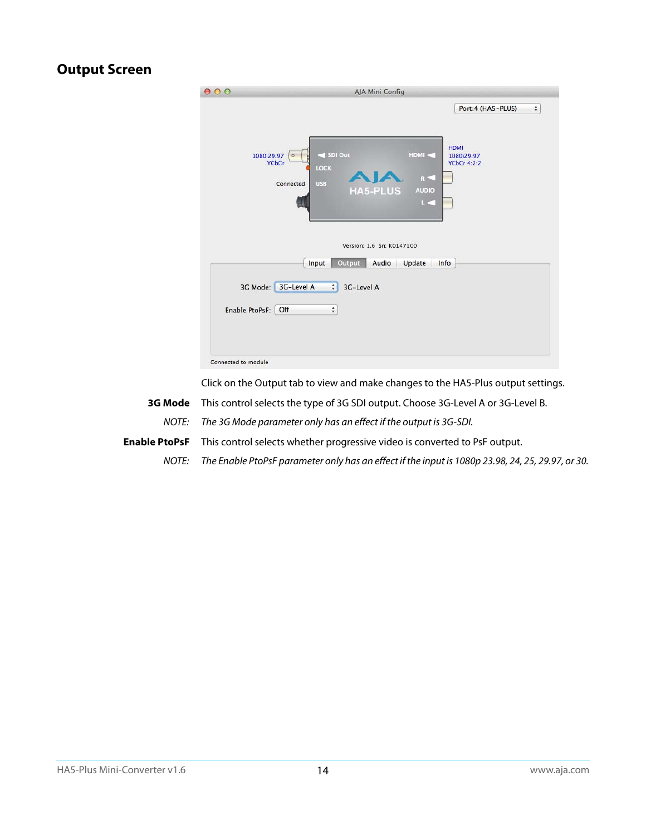## <span id="page-13-3"></span><span id="page-13-0"></span>**Output Screen**

| 000                                                      | <b>AJA Mini Config</b>                                                                       |                                                 |
|----------------------------------------------------------|----------------------------------------------------------------------------------------------|-------------------------------------------------|
|                                                          |                                                                                              | $\hat{\mathbf{v}}$<br>Port:4 (HA5-PLUS)         |
| 1080i29.97<br>$\circ$<br><b>YCbCr</b><br>Connected       | SDI Out<br>HDMI <<br>LOCK<br>$R =$<br><b>USB</b><br><b>HA5-PLUS</b><br><b>AUDIO</b><br>$L =$ | <b>HDMI</b><br>1080i29.97<br><b>YCbCr 4:2:2</b> |
|                                                          | Version: 1.6 Sn: K0147100                                                                    |                                                 |
| Input<br>3G-Level A<br>3G Mode:<br>Off<br>Enable PtoPsF: | Output<br>Audio<br>Update<br>3G-Level A<br>$\div$<br>$\overset{\mathtt{A}}{\mathtt{v}}$      | Info                                            |
| Connected to module                                      |                                                                                              |                                                 |

Click on the Output tab to view and make changes to the HA5-Plus output settings.

- <span id="page-13-1"></span>**3G Mode** This control selects the type of 3G SDI output. Choose 3G-Level A or 3G-Level B. NOTE: The 3G Mode parameter only has an effect if the output is 3G-SDI.
- <span id="page-13-2"></span>**Enable PtoPsF** This control selects whether progressive video is converted to PsF output.
	- NOTE: The Enable PtoPsF parameter only has an effect if the input is 1080p 23.98, 24, 25, 29.97, or 30.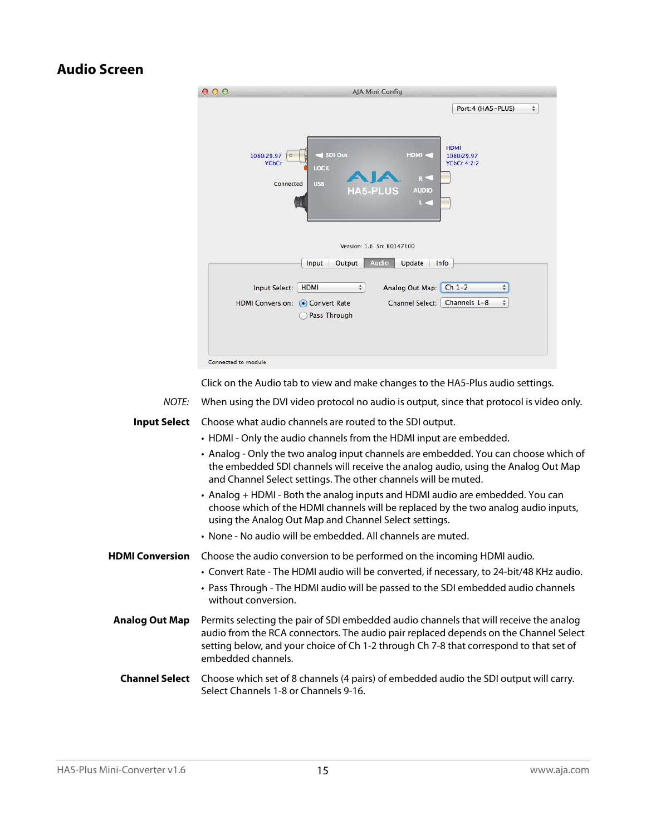## <span id="page-14-4"></span><span id="page-14-0"></span>**Audio Screen**

| 000                            | <b>AJA Mini Config</b>                                |                                                                 |
|--------------------------------|-------------------------------------------------------|-----------------------------------------------------------------|
|                                |                                                       | Port:4 (HA5-PLUS)<br>$\overset{\mathtt{A}}{\mathtt{v}}$         |
| 1080i29.97<br>$\circ$<br>YCbCr | SDI Out<br>LOCK                                       | <b>HDMI</b><br>HDMI <<br>1080i29.97<br><b>YCbCr 4:2:2</b><br>R< |
| Connected                      | <b>USB</b><br><b>HA5-PLUS</b>                         | <b>AUDIO</b><br>$\mathbb{L}$                                    |
|                                | Version: 1.6 Sn: K0147100<br>Audio<br>Output<br>Input | Info<br>Update                                                  |
| Input Select:                  | <b>HDMI</b><br>$\hat{z}$                              | $Ch$ 1-2<br>Analog Out Map:<br>$\frac{1}{\pi}$                  |
| <b>HDMI Conversion:</b>        | • Convert Rate<br>Pass Through                        | Channels 1-8<br>$\hat{\div}$<br><b>Channel Select:</b>          |
|                                |                                                       |                                                                 |

Click on the Audio tab to view and make changes to the HA5-Plus audio settings.

NOTE: When using the DVI video protocol no audio is output, since that protocol is video only.

<span id="page-14-9"></span>**Input Select** Choose what audio channels are routed to the SDI output. • HDMI - Only the audio channels from the HDMI input are embedded.

- <span id="page-14-7"></span><span id="page-14-1"></span>• Analog - Only the two analog input channels are embedded. You can choose which of the embedded SDI channels will receive the analog audio, using the Analog Out Map and Channel Select settings. The other channels will be muted.
- <span id="page-14-2"></span>• Analog + HDMI - Both the analog inputs and HDMI audio are embedded. You can choose which of the HDMI channels will be replaced by the two analog audio inputs, using the Analog Out Map and Channel Select settings.
- <span id="page-14-11"></span><span id="page-14-10"></span><span id="page-14-6"></span>• None - No audio will be embedded. All channels are muted.
- <span id="page-14-8"></span>**HDMI Conversion** Choose the audio conversion to be performed on the incoming HDMI audio.
	- Convert Rate The HDMI audio will be converted, if necessary, to 24-bit/48 KHz audio.
	- Pass Through The HDMI audio will be passed to the SDI embedded audio channels without conversion.
- <span id="page-14-3"></span>**Analog Out Map** Permits selecting the pair of SDI embedded audio channels that will receive the analog audio from the RCA connectors. The audio pair replaced depends on the Channel Select setting below, and your choice of Ch 1-2 through Ch 7-8 that correspond to that set of embedded channels.
- <span id="page-14-5"></span>**Channel Select** Choose which set of 8 channels (4 pairs) of embedded audio the SDI output will carry. Select Channels 1-8 or Channels 9-16.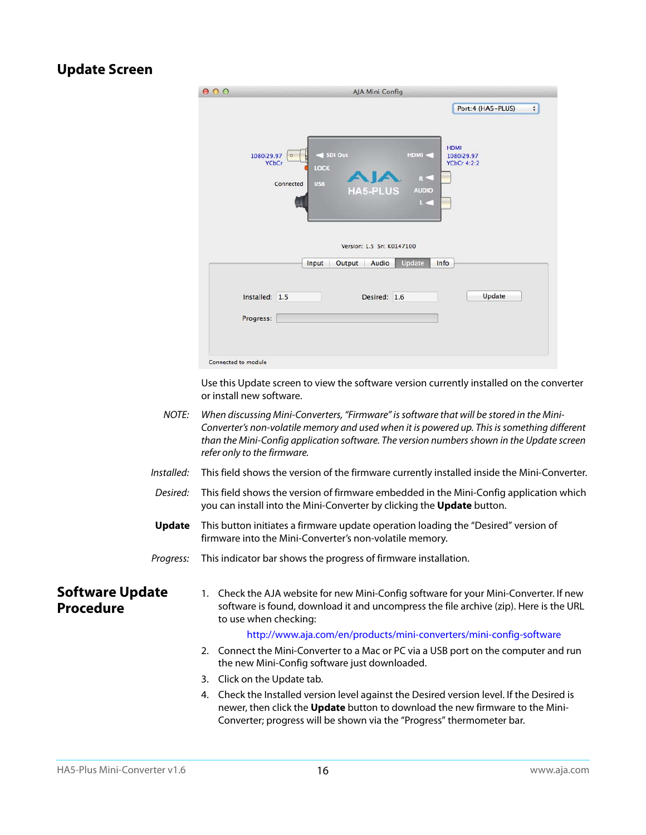## <span id="page-15-3"></span><span id="page-15-0"></span>**Update Screen**

| 000                 | AJA Mini Config                                                                                                                                                  |
|---------------------|------------------------------------------------------------------------------------------------------------------------------------------------------------------|
|                     | Port:4 (HA5-PLUS)<br>$\div$<br><b>HDMI</b><br>SDI Out<br>HDMI <<br>1080i29.97<br>1080i29.97<br>$  0 \rangle$<br><b>YCbCr</b><br><b>YCbCr 4:2:2</b><br>LOCK<br>R< |
|                     | <b>USB</b><br>Connected<br><b>HA5-PLUS</b><br><b>AUDIO</b><br>$L \leq 1$<br>Version: 1.5 Sn: K0147100                                                            |
|                     | <b>Update</b><br>Info<br>Input<br>Output<br>Audio<br>Update<br>Installed: 1.5<br>Desired: 1.6                                                                    |
|                     | Progress:                                                                                                                                                        |
| Connected to module |                                                                                                                                                                  |

Use this Update screen to view the software version currently installed on the converter or install new software.

| NOTE: | When discussing Mini-Converters, "Firmware" is software that will be stored in the Mini-    |
|-------|---------------------------------------------------------------------------------------------|
|       | Converter's non-volatile memory and used when it is powered up. This is something different |
|       | than the Mini-Config application software. The version numbers shown in the Update screen   |
|       | refer only to the firmware.                                                                 |
|       |                                                                                             |

- Installed: This field shows the version of the firmware currently installed inside the Mini-Converter.
- Desired: This field shows the version of firmware embedded in the Mini-Config application which you can install into the Mini-Converter by clicking the **Update** button.
- **Update** This button initiates a firmware update operation loading the "Desired" version of firmware into the Mini-Converter's non-volatile memory.

Progress: This indicator bar shows the progress of firmware installation.

<span id="page-15-2"></span><span id="page-15-1"></span>**Software Update Procedure**

1. Check the AJA website for new Mini-Config software for your Mini-Converter. If new software is found, download it and uncompress the file archive (zip). Here is the URL to use when checking:

#### http://www.aja.com/en/products/mini-converters/mini-config-software

- 2. Connect the Mini-Converter to a Mac or PC via a USB port on the computer and run the new Mini-Config software just downloaded.
- 3. Click on the Update tab.
- 4. Check the Installed version level against the Desired version level. If the Desired is newer, then click the **Update** button to download the new firmware to the Mini-Converter; progress will be shown via the "Progress" thermometer bar.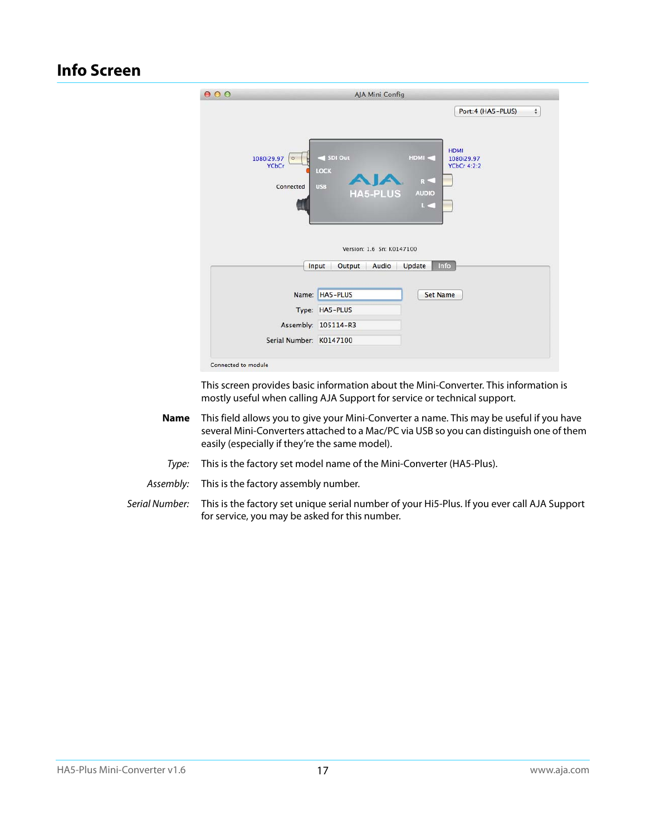## <span id="page-16-1"></span><span id="page-16-0"></span>**Info Screen**

|                                                    |                                                  |                                 | Port:4 (HA5-PLUS)                               | $\overset{\mathtt{A}}{\mathtt{v}}$ |
|----------------------------------------------------|--------------------------------------------------|---------------------------------|-------------------------------------------------|------------------------------------|
| 1080i29.97<br>$\circ$<br><b>YCbCr</b><br>Connected | SDI Out<br>LOCK<br><b>USB</b><br><b>HA5-PLUS</b> | HDMI <<br>$R =$<br><b>AUDIO</b> | <b>HDMI</b><br>1080i29.97<br><b>YCbCr 4:2:2</b> |                                    |
|                                                    | Version: 1.6 Sn: K0147100                        | $L =$                           |                                                 |                                    |
|                                                    | Audio<br>Input<br>Output                         | Info<br>Update                  |                                                 |                                    |
|                                                    | Name: HA5-PLUS                                   | <b>Set Name</b>                 |                                                 |                                    |
|                                                    | Type: HA5-PLUS                                   |                                 |                                                 |                                    |
|                                                    | Assembly: 105114-R3                              |                                 |                                                 |                                    |

This screen provides basic information about the Mini-Converter. This information is mostly useful when calling AJA Support for service or technical support.

- **Name** This field allows you to give your Mini-Converter a name. This may be useful if you have several Mini-Converters attached to a Mac/PC via USB so you can distinguish one of them easily (especially if they're the same model).
	- Type: This is the factory set model name of the Mini-Converter (HA5-Plus).
- Assembly: This is the factory assembly number.
- Serial Number: This is the factory set unique serial number of your Hi5-Plus. If you ever call AJA Support for service, you may be asked for this number.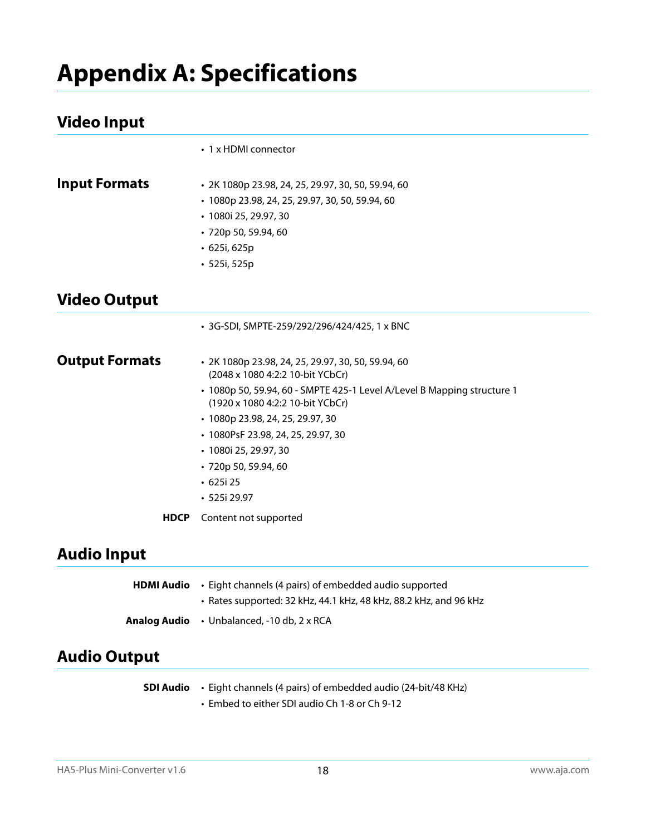## <span id="page-17-7"></span><span id="page-17-0"></span>**Appendix A: Specifications**

## <span id="page-17-1"></span>**Video Input**

<span id="page-17-3"></span><span id="page-17-2"></span>

|                       | • 1 x HDMI connector                                                                                                                                                                                                                                                                                                                                                      |
|-----------------------|---------------------------------------------------------------------------------------------------------------------------------------------------------------------------------------------------------------------------------------------------------------------------------------------------------------------------------------------------------------------------|
| <b>Input Formats</b>  | • 2K 1080p 23.98, 24, 25, 29.97, 30, 50, 59.94, 60<br>· 1080p 23.98, 24, 25, 29.97, 30, 50, 59.94, 60<br>· 1080i 25, 29.97, 30<br>· 720p 50, 59.94, 60<br>$\cdot$ 625i, 625p<br>· 525i, 525p                                                                                                                                                                              |
| <b>Video Output</b>   |                                                                                                                                                                                                                                                                                                                                                                           |
|                       | • 3G-SDI, SMPTE-259/292/296/424/425, 1 x BNC                                                                                                                                                                                                                                                                                                                              |
| <b>Output Formats</b> | · 2K 1080p 23.98, 24, 25, 29.97, 30, 50, 59.94, 60<br>(2048 x 1080 4:2:2 10-bit YCbCr)<br>• 1080p 50, 59.94, 60 - SMPTE 425-1 Level A/Level B Mapping structure 1<br>(1920 x 1080 4:2:2 10-bit YCbCr)<br>• 1080p 23.98, 24, 25, 29.97, 30<br>• 1080PsF 23.98, 24, 25, 29.97, 30<br>• 1080i 25, 29.97, 30<br>· 720p 50, 59.94, 60<br>$\cdot$ 625i 25<br>$\cdot$ 525i 29.97 |
| <b>HDCP</b>           | Content not supported                                                                                                                                                                                                                                                                                                                                                     |
| Audio Innut           |                                                                                                                                                                                                                                                                                                                                                                           |

## <span id="page-17-5"></span><span id="page-17-4"></span>**Audio Input**

| HDMI Audio | • Eight channels (4 pairs) of embedded audio supported            |
|------------|-------------------------------------------------------------------|
|            | • Rates supported: 32 kHz, 44.1 kHz, 48 kHz, 88.2 kHz, and 96 kHz |
|            | <b>Analog Audio</b> • Unbalanced, -10 db, 2 x RCA                 |

## <span id="page-17-6"></span>**Audio Output**

| SDI Audio | • Eight channels (4 pairs) of embedded audio (24-bit/48 KHz) |
|-----------|--------------------------------------------------------------|
|           | • Embed to either SDI audio Ch 1-8 or Ch 9-12                |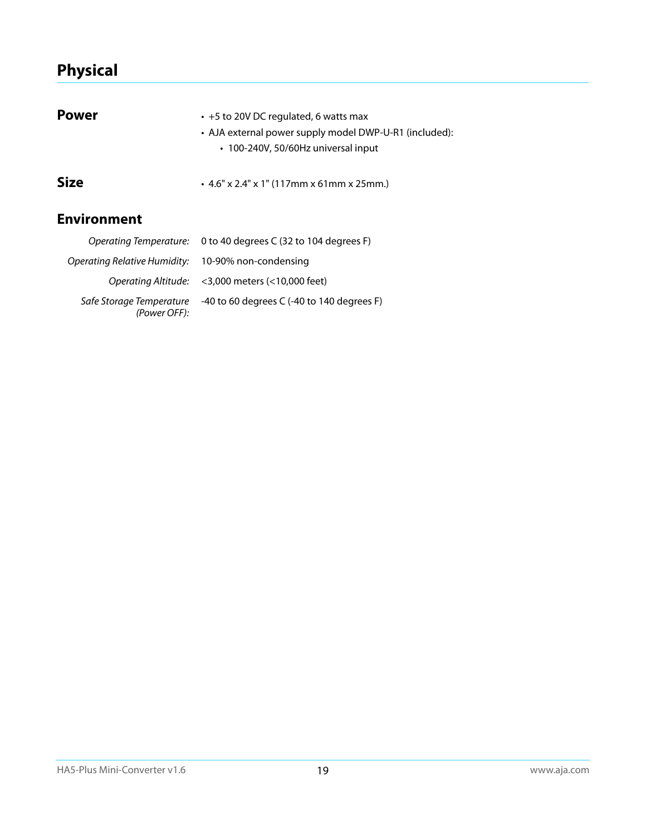## <span id="page-18-0"></span>**Physical**

<span id="page-18-2"></span><span id="page-18-1"></span>

| <b>Power</b>                 | • +5 to 20V DC regulated, 6 watts max<br>• AJA external power supply model DWP-U-R1 (included):<br>• 100-240V, 50/60Hz universal input |
|------------------------------|----------------------------------------------------------------------------------------------------------------------------------------|
| <b>Size</b>                  | $\cdot$ 4.6" x 2.4" x 1" (117mm x 61mm x 25mm.)                                                                                        |
| <b>Environment</b>           |                                                                                                                                        |
|                              | Operating Temperature: 0 to 40 degrees C (32 to 104 degrees F)                                                                         |
| Operating Relative Humidity: | 10-90% non-condensing                                                                                                                  |

<span id="page-18-3"></span>Operating Altitude: <3,000 meters (<10,000 feet)

Safe Storage Temperature (Power OFF): -40 to 60 degrees C (-40 to 140 degrees F)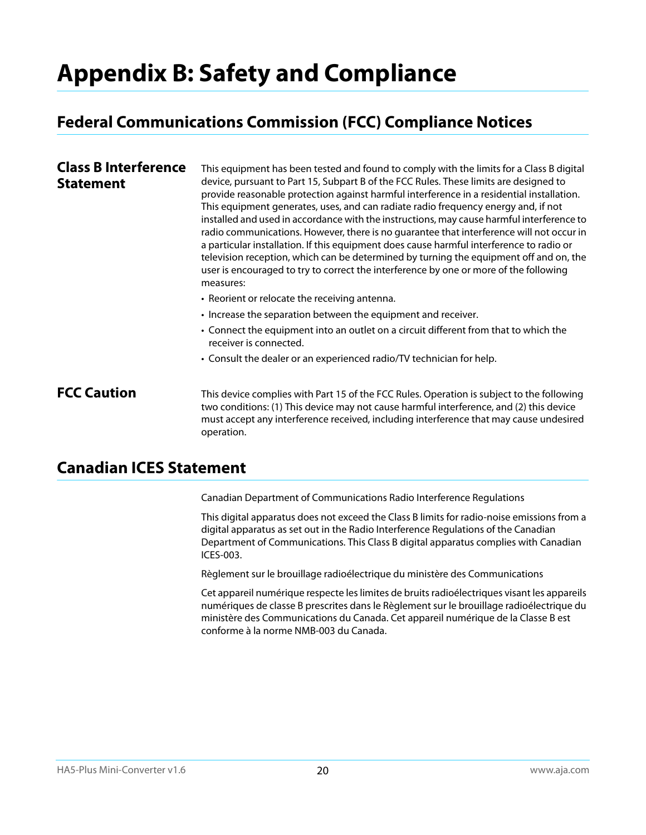## <span id="page-19-0"></span>**Appendix B: Safety and Compliance**

## <span id="page-19-5"></span><span id="page-19-1"></span>**Federal Communications Commission (FCC) Compliance Notices**

#### <span id="page-19-2"></span>**Class B Interference Statement** This equipment has been tested and found to comply with the limits for a Class B digital device, pursuant to Part 15, Subpart B of the FCC Rules. These limits are designed to provide reasonable protection against harmful interference in a residential installation. This equipment generates, uses, and can radiate radio frequency energy and, if not installed and used in accordance with the instructions, may cause harmful interference to radio communications. However, there is no guarantee that interference will not occur in a particular installation. If this equipment does cause harmful interference to radio or television reception, which can be determined by turning the equipment off and on, the user is encouraged to try to correct the interference by one or more of the following measures: • Reorient or relocate the receiving antenna. • Increase the separation between the equipment and receiver. • Connect the equipment into an outlet on a circuit different from that to which the receiver is connected. • Consult the dealer or an experienced radio/TV technician for help.

<span id="page-19-3"></span>**FCC Caution** This device complies with Part 15 of the FCC Rules. Operation is subject to the following two conditions: (1) This device may not cause harmful interference, and (2) this device must accept any interference received, including interference that may cause undesired operation.

## <span id="page-19-4"></span>**Canadian ICES Statement**

Canadian Department of Communications Radio Interference Regulations

This digital apparatus does not exceed the Class B limits for radio-noise emissions from a digital apparatus as set out in the Radio Interference Regulations of the Canadian Department of Communications. This Class B digital apparatus complies with Canadian ICES-003.

Règlement sur le brouillage radioélectrique du ministère des Communications

Cet appareil numérique respecte les limites de bruits radioélectriques visant les appareils numériques de classe B prescrites dans le Règlement sur le brouillage radioélectrique du ministère des Communications du Canada. Cet appareil numérique de la Classe B est conforme à la norme NMB-003 du Canada.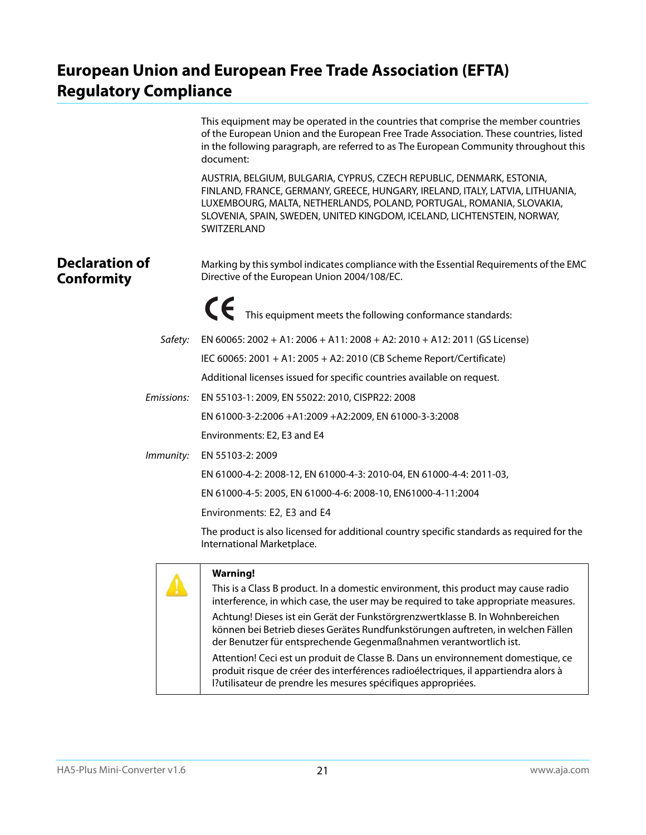## <span id="page-20-0"></span>**European Union and European Free Trade Association (EFTA) Regulatory Compliance**

<span id="page-20-1"></span>

|                                            | This equipment may be operated in the countries that comprise the member countries<br>of the European Union and the European Free Trade Association. These countries, listed<br>in the following paragraph, are referred to as The European Community throughout this<br>document:                                                                                                                                                                                                                                                                                                                                                                                                 |
|--------------------------------------------|------------------------------------------------------------------------------------------------------------------------------------------------------------------------------------------------------------------------------------------------------------------------------------------------------------------------------------------------------------------------------------------------------------------------------------------------------------------------------------------------------------------------------------------------------------------------------------------------------------------------------------------------------------------------------------|
|                                            | AUSTRIA, BELGIUM, BULGARIA, CYPRUS, CZECH REPUBLIC, DENMARK, ESTONIA,<br>FINLAND, FRANCE, GERMANY, GREECE, HUNGARY, IRELAND, ITALY, LATVIA, LITHUANIA,<br>LUXEMBOURG, MALTA, NETHERLANDS, POLAND, PORTUGAL, ROMANIA, SLOVAKIA,<br>SLOVENIA, SPAIN, SWEDEN, UNITED KINGDOM, ICELAND, LICHTENSTEIN, NORWAY,<br>SWITZERLAND                                                                                                                                                                                                                                                                                                                                                           |
| <b>Declaration of</b><br><b>Conformity</b> | Marking by this symbol indicates compliance with the Essential Requirements of the EMC<br>Directive of the European Union 2004/108/EC.                                                                                                                                                                                                                                                                                                                                                                                                                                                                                                                                             |
|                                            | This equipment meets the following conformance standards:                                                                                                                                                                                                                                                                                                                                                                                                                                                                                                                                                                                                                          |
| Safety:                                    | EN 60065: 2002 + A1: 2006 + A11: 2008 + A2: 2010 + A12: 2011 (GS License)                                                                                                                                                                                                                                                                                                                                                                                                                                                                                                                                                                                                          |
|                                            | IEC 60065: 2001 + A1: 2005 + A2: 2010 (CB Scheme Report/Certificate)                                                                                                                                                                                                                                                                                                                                                                                                                                                                                                                                                                                                               |
|                                            | Additional licenses issued for specific countries available on request.                                                                                                                                                                                                                                                                                                                                                                                                                                                                                                                                                                                                            |
| Emissions:                                 | EN 55103-1: 2009, EN 55022: 2010, CISPR22: 2008                                                                                                                                                                                                                                                                                                                                                                                                                                                                                                                                                                                                                                    |
|                                            | EN 61000-3-2:2006 +A1:2009 +A2:2009, EN 61000-3-3:2008                                                                                                                                                                                                                                                                                                                                                                                                                                                                                                                                                                                                                             |
|                                            | Environments: E2, E3 and E4                                                                                                                                                                                                                                                                                                                                                                                                                                                                                                                                                                                                                                                        |
| Immunity:                                  | EN 55103-2: 2009                                                                                                                                                                                                                                                                                                                                                                                                                                                                                                                                                                                                                                                                   |
|                                            | EN 61000-4-2: 2008-12, EN 61000-4-3: 2010-04, EN 61000-4-4: 2011-03,                                                                                                                                                                                                                                                                                                                                                                                                                                                                                                                                                                                                               |
|                                            | EN 61000-4-5: 2005, EN 61000-4-6: 2008-10, EN61000-4-11:2004                                                                                                                                                                                                                                                                                                                                                                                                                                                                                                                                                                                                                       |
|                                            | Environments: E2, E3 and E4                                                                                                                                                                                                                                                                                                                                                                                                                                                                                                                                                                                                                                                        |
|                                            | The product is also licensed for additional country specific standards as required for the<br>International Marketplace.                                                                                                                                                                                                                                                                                                                                                                                                                                                                                                                                                           |
|                                            | <b>Warning!</b><br>This is a Class B product. In a domestic environment, this product may cause radio<br>interference, in which case, the user may be required to take appropriate measures.<br>Achtung! Dieses ist ein Gerät der Funkstörgrenzwertklasse B. In Wohnbereichen<br>können bei Betrieb dieses Gerätes Rundfunkstörungen auftreten, in welchen Fällen<br>der Benutzer für entsprechende Gegenmaßnahmen verantwortlich ist.<br>Attention! Ceci est un produit de Classe B. Dans un environnement domestique, ce<br>produit risque de créer des interférences radioélectriques, il appartiendra alors à<br>l?utilisateur de prendre les mesures spécifiques appropriées. |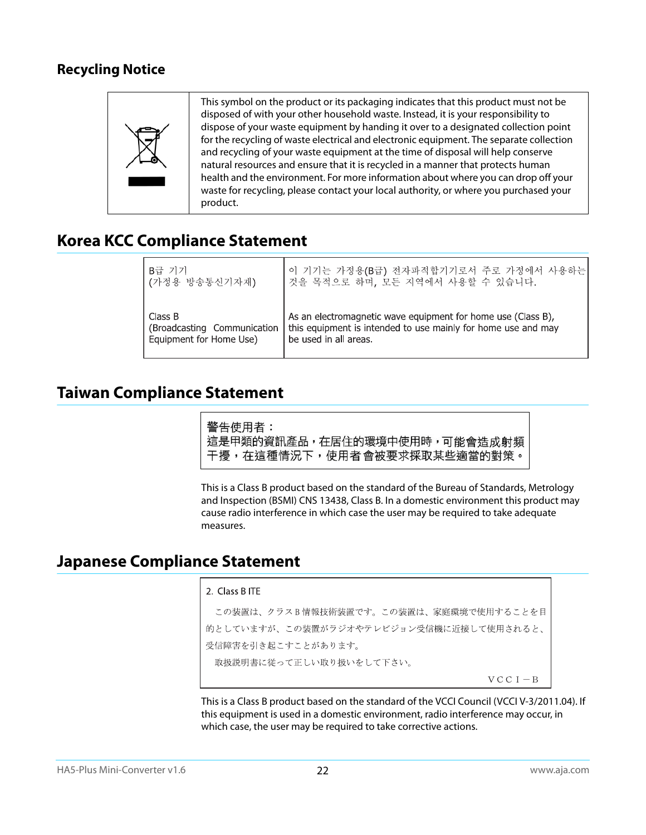## <span id="page-21-0"></span>**Recycling Notice**



## <span id="page-21-1"></span>**Korea KCC Compliance Statement**

| - B급 기기                     | 이 기기는 가정용(B급) 전자파적합기기로서 주로 가정에서 사용하는                          |
|-----------------------------|---------------------------------------------------------------|
| ┃(가정용 방송통신기자재)              | 것을 목적으로 하며, 모든 지역에서 사용할 수 있습니다.                               |
| Class B                     | As an electromagnetic wave equipment for home use (Class B),  |
| (Broadcasting Communication | this equipment is intended to use mainly for home use and may |
| Equipment for Home Use)     | be used in all areas.                                         |

## <span id="page-21-2"></span>**Taiwan Compliance Statement**

警告使用者: 這是甲類的資訊產品,在居住的環境中使用時,可能會造成射頻 干擾,在這種情況下,使用者會被要求採取某些適當的對策。

This is a Class B product based on the standard of the Bureau of Standards, Metrology and Inspection (BSMI) CNS 13438, Class B. In a domestic environment this product may cause radio interference in which case the user may be required to take adequate measures.

## <span id="page-21-3"></span>**Japanese Compliance Statement**

#### 2. Class B ITE

この装置は、クラスB情報技術装置です。この装置は、家庭環境で使用することを目 的としていますが、この装置がラジオやテレビジョン受信機に近接して使用されると、 受信障害を引き起こすことがあります。 取扱説明書に従って正しい取り扱いをして下さい。  $V C C I - B$ 

This is a Class B product based on the standard of the VCCI Council (VCCI V-3/2011.04). If this equipment is used in a domestic environment, radio interference may occur, in which case, the user may be required to take corrective actions.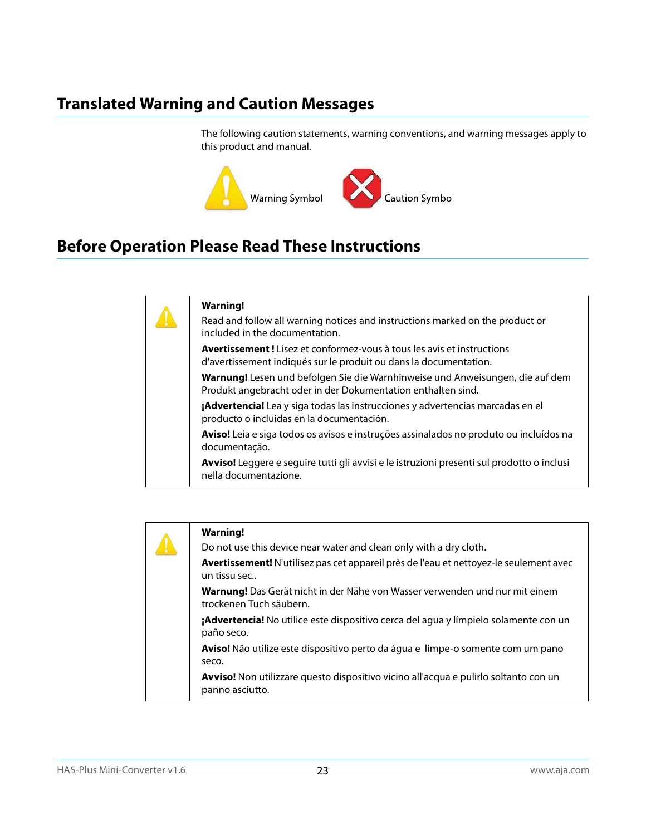## <span id="page-22-0"></span>**Translated Warning and Caution Messages**

The following caution statements, warning conventions, and warning messages apply to this product and manual.



## <span id="page-22-1"></span>**Before Operation Please Read These Instructions**

|  | <b>Warning!</b>                                                                                                                                    |
|--|----------------------------------------------------------------------------------------------------------------------------------------------------|
|  | Read and follow all warning notices and instructions marked on the product or<br>included in the documentation.                                    |
|  | <b>Avertissement!</b> Lisez et conformez-yous à tous les avis et instructions<br>d'avertissement indiqués sur le produit ou dans la documentation. |
|  | Warnung! Lesen und befolgen Sie die Warnhinweise und Anweisungen, die auf dem<br>Produkt angebracht oder in der Dokumentation enthalten sind.      |
|  | <b>¡Advertencia!</b> Lea y siga todas las instrucciones y advertencias marcadas en el<br>producto o incluidas en la documentación.                 |
|  | Aviso! Leia e siga todos os avisos e instruções assinalados no produto ou incluídos na<br>documentação.                                            |
|  | Avviso! Leggere e seguire tutti gli avvisi e le istruzioni presenti sul prodotto o inclusi<br>nella documentazione.                                |
|  |                                                                                                                                                    |

| <b>Warning!</b>                                                                                         |
|---------------------------------------------------------------------------------------------------------|
| Do not use this device near water and clean only with a dry cloth.                                      |
| Avertissement! N'utilisez pas cet appareil près de l'eau et nettoyez-le seulement avec<br>un tissu sec  |
| Warnung! Das Gerät nicht in der Nähe von Wasser verwenden und nur mit einem<br>trockenen Tuch säubern.  |
| ¡Advertencia! No utilice este dispositivo cerca del agua y límpielo solamente con un<br>paño seco.      |
| Aviso! Não utilize este dispositivo perto da água e limpe-o somente com um pano<br>seco.                |
| Avviso! Non utilizzare questo dispositivo vicino all'acqua e pulirlo soltanto con un<br>panno asciutto. |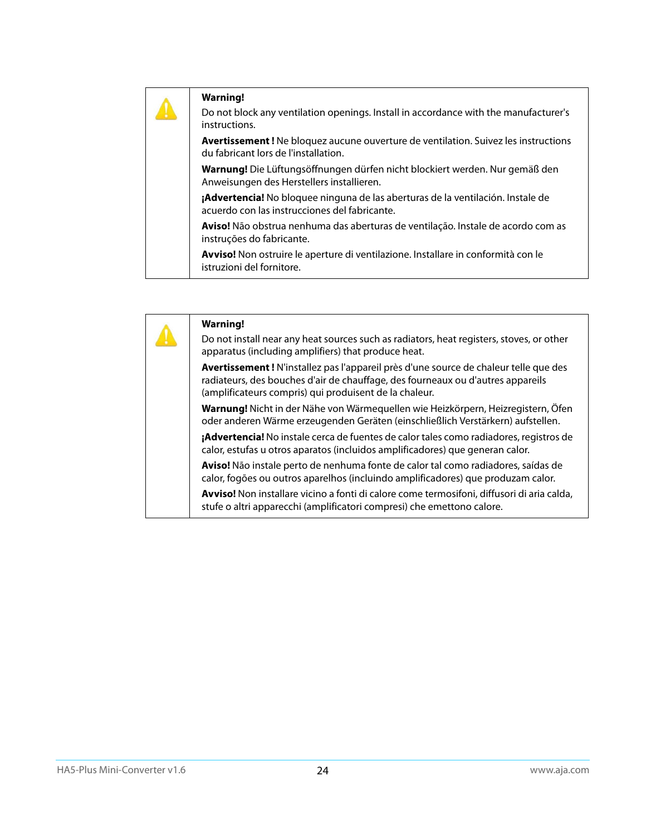| <b>Warning!</b><br>Do not block any ventilation openings. Install in accordance with the manufacturer's<br>instructions.          |
|-----------------------------------------------------------------------------------------------------------------------------------|
| <b>Avertissement!</b> Ne bloquez aucune ouverture de ventilation. Suivez les instructions<br>du fabricant lors de l'installation. |
| Warnung! Die Lüftungsöffnungen dürfen nicht blockiert werden. Nur gemäß den<br>Anweisungen des Herstellers installieren.          |
| ¡Advertencia! No bloquee ninguna de las aberturas de la ventilación. Instale de<br>acuerdo con las instrucciones del fabricante.  |
| <b>Aviso!</b> Não obstrua nenhuma das aberturas de ventilação. Instale de acordo com as<br>instruções do fabricante.              |
| Avviso! Non ostruire le aperture di ventilazione. Installare in conformità con le<br>istruzioni del fornitore.                    |

|  | <b>Warning!</b>                                                                                                                                                                                                                   |
|--|-----------------------------------------------------------------------------------------------------------------------------------------------------------------------------------------------------------------------------------|
|  | Do not install near any heat sources such as radiators, heat registers, stoves, or other<br>apparatus (including amplifiers) that produce heat.                                                                                   |
|  | Avertissement! N'installez pas l'appareil près d'une source de chaleur telle que des<br>radiateurs, des bouches d'air de chauffage, des fourneaux ou d'autres appareils<br>(amplificateurs compris) qui produisent de la chaleur. |
|  | Warnung! Nicht in der Nähe von Wärmequellen wie Heizkörpern, Heizregistern, Öfen<br>oder anderen Wärme erzeugenden Geräten (einschließlich Verstärkern) aufstellen.                                                               |
|  | <b>¡Advertencia!</b> No instale cerca de fuentes de calor tales como radiadores, registros de<br>calor, estufas u otros aparatos (incluidos amplificadores) que generan calor.                                                    |
|  | Aviso! Não instale perto de nenhuma fonte de calor tal como radiadores, saídas de<br>calor, fogões ou outros aparelhos (incluindo amplificadores) que produzam calor.                                                             |
|  | Avviso! Non installare vicino a fonti di calore come termosifoni, diffusori di aria calda,<br>stufe o altri apparecchi (amplificatori compresi) che emettono calore.                                                              |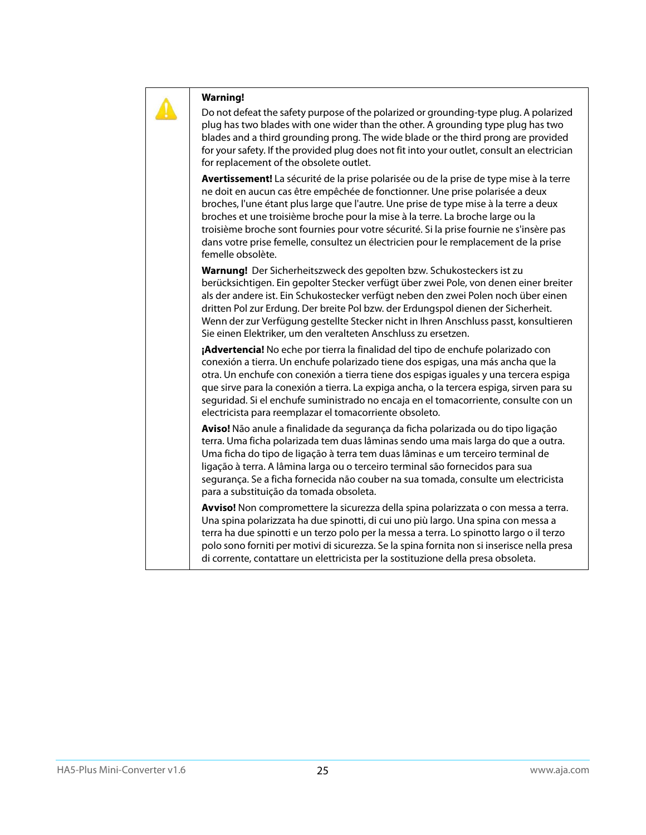

#### **Warning!**

Do not defeat the safety purpose of the polarized or grounding-type plug. A polarized plug has two blades with one wider than the other. A grounding type plug has two blades and a third grounding prong. The wide blade or the third prong are provided for your safety. If the provided plug does not fit into your outlet, consult an electrician for replacement of the obsolete outlet.

**Avertissement!** La sécurité de la prise polarisée ou de la prise de type mise à la terre ne doit en aucun cas être empêchée de fonctionner. Une prise polarisée a deux broches, l'une étant plus large que l'autre. Une prise de type mise à la terre a deux broches et une troisième broche pour la mise à la terre. La broche large ou la troisième broche sont fournies pour votre sécurité. Si la prise fournie ne s'insère pas dans votre prise femelle, consultez un électricien pour le remplacement de la prise femelle obsolète.

**Warnung!** Der Sicherheitszweck des gepolten bzw. Schukosteckers ist zu berücksichtigen. Ein gepolter Stecker verfügt über zwei Pole, von denen einer breiter als der andere ist. Ein Schukostecker verfügt neben den zwei Polen noch über einen dritten Pol zur Erdung. Der breite Pol bzw. der Erdungspol dienen der Sicherheit. Wenn der zur Verfügung gestellte Stecker nicht in Ihren Anschluss passt, konsultieren Sie einen Elektriker, um den veralteten Anschluss zu ersetzen.

**¡Advertencia!** No eche por tierra la finalidad del tipo de enchufe polarizado con conexión a tierra. Un enchufe polarizado tiene dos espigas, una más ancha que la otra. Un enchufe con conexión a tierra tiene dos espigas iguales y una tercera espiga que sirve para la conexión a tierra. La expiga ancha, o la tercera espiga, sirven para su seguridad. Si el enchufe suministrado no encaja en el tomacorriente, consulte con un electricista para reemplazar el tomacorriente obsoleto.

**Aviso!** Não anule a finalidade da segurança da ficha polarizada ou do tipo ligação terra. Uma ficha polarizada tem duas lâminas sendo uma mais larga do que a outra. Uma ficha do tipo de ligação à terra tem duas lâminas e um terceiro terminal de ligação à terra. A lâmina larga ou o terceiro terminal são fornecidos para sua segurança. Se a ficha fornecida não couber na sua tomada, consulte um electricista para a substituição da tomada obsoleta.

**Avviso!** Non compromettere la sicurezza della spina polarizzata o con messa a terra. Una spina polarizzata ha due spinotti, di cui uno più largo. Una spina con messa a terra ha due spinotti e un terzo polo per la messa a terra. Lo spinotto largo o il terzo polo sono forniti per motivi di sicurezza. Se la spina fornita non si inserisce nella presa di corrente, contattare un elettricista per la sostituzione della presa obsoleta.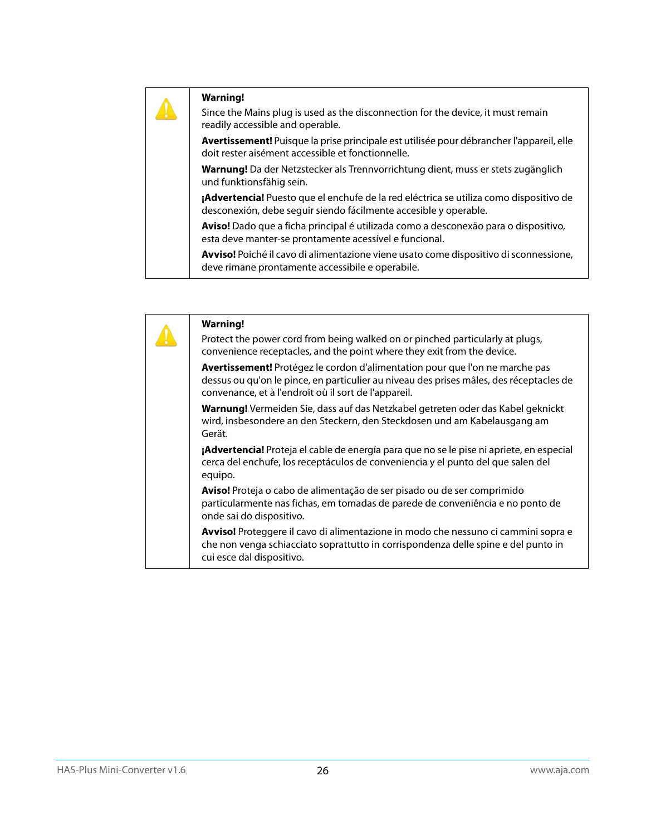## **Warning!**

Since the Mains plug is used as the disconnection for the device, it must remain readily accessible and operable.

**Avertissement!** Puisque la prise principale est utilisée pour débrancher l'appareil, elle doit rester aisément accessible et fonctionnelle.

**Warnung!** Da der Netzstecker als Trennvorrichtung dient, muss er stets zugänglich und funktionsfähig sein.

**¡Advertencia!** Puesto que el enchufe de la red eléctrica se utiliza como dispositivo de desconexión, debe seguir siendo fácilmente accesible y operable.

**Aviso!** Dado que a ficha principal é utilizada como a desconexão para o dispositivo, esta deve manter-se prontamente acessível e funcional.

**Avviso!** Poiché il cavo di alimentazione viene usato come dispositivo di sconnessione, deve rimane prontamente accessibile e operabile.

| <b>Warning!</b><br>Protect the power cord from being walked on or pinched particularly at plugs,<br>convenience receptacles, and the point where they exit from the device.                                                     |
|---------------------------------------------------------------------------------------------------------------------------------------------------------------------------------------------------------------------------------|
| Avertissement! Protégez le cordon d'alimentation pour que l'on ne marche pas<br>dessus ou qu'on le pince, en particulier au niveau des prises mâles, des réceptacles de<br>convenance, et à l'endroit où il sort de l'appareil. |
| Warnung! Vermeiden Sie, dass auf das Netzkabel getreten oder das Kabel geknickt<br>wird, insbesondere an den Steckern, den Steckdosen und am Kabelausgang am<br>Gerät.                                                          |
| ¡Advertencia! Proteja el cable de energía para que no se le pise ni apriete, en especial<br>cerca del enchufe, los receptáculos de conveniencia y el punto del que salen del<br>equipo.                                         |
| Aviso! Proteja o cabo de alimentação de ser pisado ou de ser comprimido<br>particularmente nas fichas, em tomadas de parede de conveniência e no ponto de<br>onde sai do dispositivo.                                           |
| Avviso! Proteggere il cavo di alimentazione in modo che nessuno ci cammini sopra e<br>che non venga schiacciato soprattutto in corrispondenza delle spine e del punto in<br>cui esce dal dispositivo.                           |
|                                                                                                                                                                                                                                 |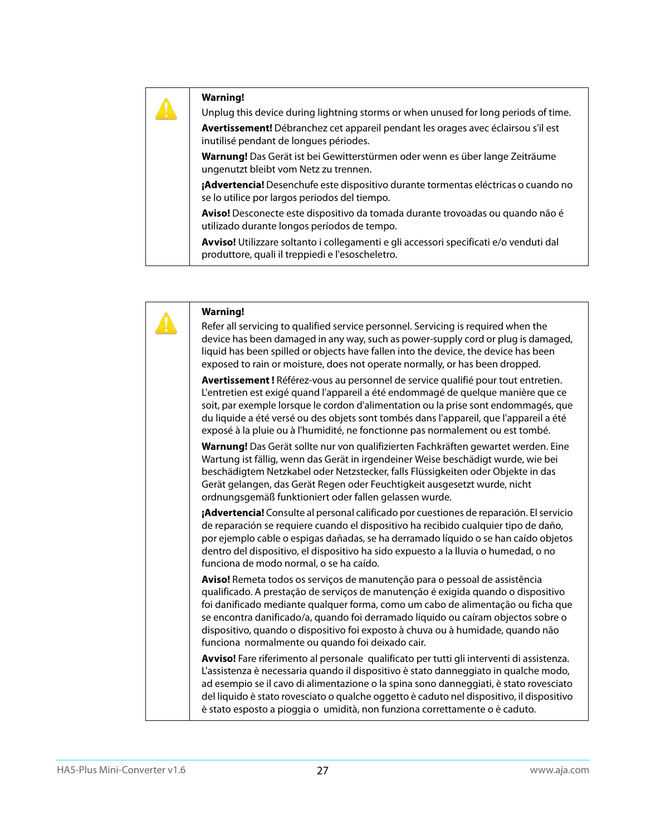#### **Warning!**

Unplug this device during lightning storms or when unused for long periods of time.

**Avertissement!** Débranchez cet appareil pendant les orages avec éclairsou s'il est inutilisé pendant de longues périodes.

**Warnung!** Das Gerät ist bei Gewitterstürmen oder wenn es über lange Zeiträume ungenutzt bleibt vom Netz zu trennen.

**¡Advertencia!** Desenchufe este dispositivo durante tormentas eléctricas o cuando no se lo utilice por largos periodos del tiempo.

**Aviso!** Desconecte este dispositivo da tomada durante trovoadas ou quando não é utilizado durante longos períodos de tempo.

**Avviso!** Utilizzare soltanto i collegamenti e gli accessori specificati e/o venduti dal produttore, quali il treppiedi e l'esoscheletro.

| <b>Warning!</b><br>Refer all servicing to qualified service personnel. Servicing is required when the<br>device has been damaged in any way, such as power-supply cord or plug is damaged,<br>liquid has been spilled or objects have fallen into the device, the device has been<br>exposed to rain or moisture, does not operate normally, or has been dropped.                                                                                                                |
|----------------------------------------------------------------------------------------------------------------------------------------------------------------------------------------------------------------------------------------------------------------------------------------------------------------------------------------------------------------------------------------------------------------------------------------------------------------------------------|
| Avertissement! Référez-vous au personnel de service qualifié pour tout entretien.<br>L'entretien est exigé quand l'appareil a été endommagé de quelque manière que ce<br>soit, par exemple lorsque le cordon d'alimentation ou la prise sont endommagés, que<br>du liquide a été versé ou des objets sont tombés dans l'appareil, que l'appareil a été<br>exposé à la pluie ou à l'humidité, ne fonctionne pas normalement ou est tombé.                                         |
| Warnung! Das Gerät sollte nur von qualifizierten Fachkräften gewartet werden. Eine<br>Wartung ist fällig, wenn das Gerät in irgendeiner Weise beschädigt wurde, wie bei<br>beschädigtem Netzkabel oder Netzstecker, falls Flüssigkeiten oder Objekte in das<br>Gerät gelangen, das Gerät Regen oder Feuchtigkeit ausgesetzt wurde, nicht<br>ordnungsgemäß funktioniert oder fallen gelassen wurde.                                                                               |
| ¡Advertencia! Consulte al personal calificado por cuestiones de reparación. El servicio<br>de reparación se requiere cuando el dispositivo ha recibido cualquier tipo de daño,<br>por ejemplo cable o espigas dañadas, se ha derramado líquido o se han caído objetos<br>dentro del dispositivo, el dispositivo ha sido expuesto a la lluvia o humedad, o no<br>funciona de modo normal, o se ha caído.                                                                          |
| Aviso! Remeta todos os serviços de manutenção para o pessoal de assistência<br>qualificado. A prestação de serviços de manutenção é exigida quando o dispositivo<br>foi danificado mediante qualquer forma, como um cabo de alimentação ou ficha que<br>se encontra danificado/a, quando foi derramado líquido ou caíram objectos sobre o<br>dispositivo, quando o dispositivo foi exposto à chuva ou à humidade, quando não<br>funciona normalmente ou quando foi deixado cair. |
| Avviso! Fare riferimento al personale qualificato per tutti gli interventi di assistenza.<br>L'assistenza è necessaria quando il dispositivo è stato danneggiato in qualche modo,<br>ad esempio se il cavo di alimentazione o la spina sono danneggiati, è stato rovesciato<br>del liquido è stato rovesciato o qualche oggetto è caduto nel dispositivo, il dispositivo<br>è stato esposto a pioggia o umidità, non funziona correttamente o è caduto.                          |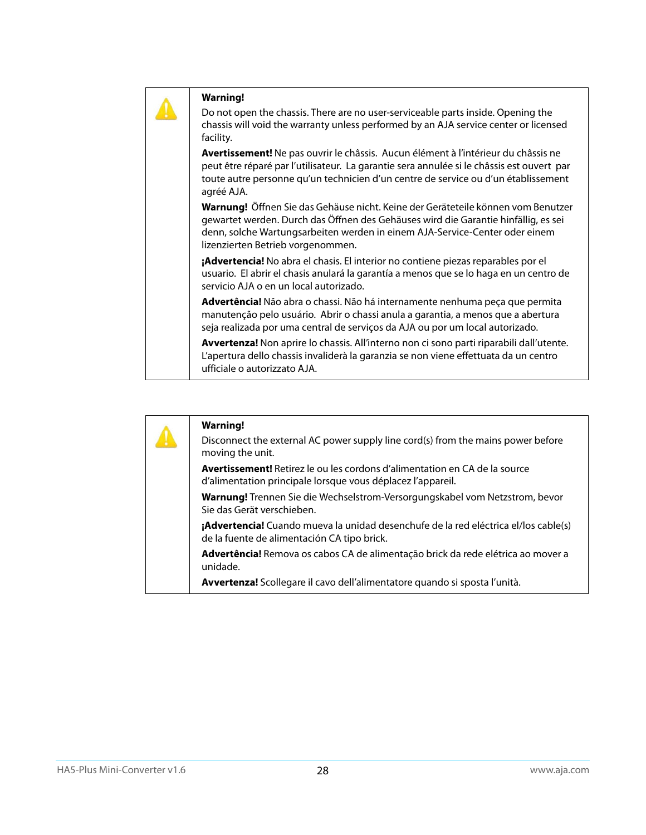| <b>Warning!</b><br>Do not open the chassis. There are no user-serviceable parts inside. Opening the<br>chassis will void the warranty unless performed by an AJA service center or licensed<br>facility.                                                                                   |
|--------------------------------------------------------------------------------------------------------------------------------------------------------------------------------------------------------------------------------------------------------------------------------------------|
| Avertissement! Ne pas ouvrir le châssis. Aucun élément à l'intérieur du châssis ne<br>peut être réparé par l'utilisateur. La garantie sera annulée si le châssis est ouvert par<br>toute autre personne qu'un technicien d'un centre de service ou d'un établissement<br>agréé AJA.        |
| Warnung! Öffnen Sie das Gehäuse nicht. Keine der Geräteteile können vom Benutzer<br>gewartet werden. Durch das Öffnen des Gehäuses wird die Garantie hinfällig, es sei<br>denn, solche Wartungsarbeiten werden in einem AJA-Service-Center oder einem<br>lizenzierten Betrieb vorgenommen. |
| <b>¡Advertencia!</b> No abra el chasis. El interior no contiene piezas reparables por el<br>usuario. El abrir el chasis anulará la garantía a menos que se lo haga en un centro de<br>servicio AJA o en un local autorizado.                                                               |
| Advertência! Não abra o chassi. Não há internamente nenhuma peça que permita<br>manutenção pelo usuário. Abrir o chassi anula a garantia, a menos que a abertura<br>seja realizada por uma central de serviços da AJA ou por um local autorizado.                                          |
| Avvertenza! Non aprire lo chassis. All'interno non ci sono parti riparabili dall'utente.<br>L'apertura dello chassis invaliderà la garanzia se non viene effettuata da un centro<br>ufficiale o autorizzato AJA.                                                                           |

| <b>Warning!</b><br>Disconnect the external AC power supply line cord(s) from the mains power before<br>moving the unit.                          |
|--------------------------------------------------------------------------------------------------------------------------------------------------|
| <b>Avertissement!</b> Retirez le ou les cordons d'alimentation en CA de la source<br>d'alimentation principale lorsque vous déplacez l'appareil. |
| Warnung! Trennen Sie die Wechselstrom-Versorgungskabel vom Netzstrom, bevor<br>Sie das Gerät verschieben.                                        |
| ¡Advertencia! Cuando mueva la unidad desenchufe de la red eléctrica el/los cable(s)<br>de la fuente de alimentación CA tipo brick.               |
| Advertência! Remova os cabos CA de alimentação brick da rede elétrica ao mover a<br>unidade.                                                     |
| Avvertenza! Scollegare il cavo dell'alimentatore quando si sposta l'unità.                                                                       |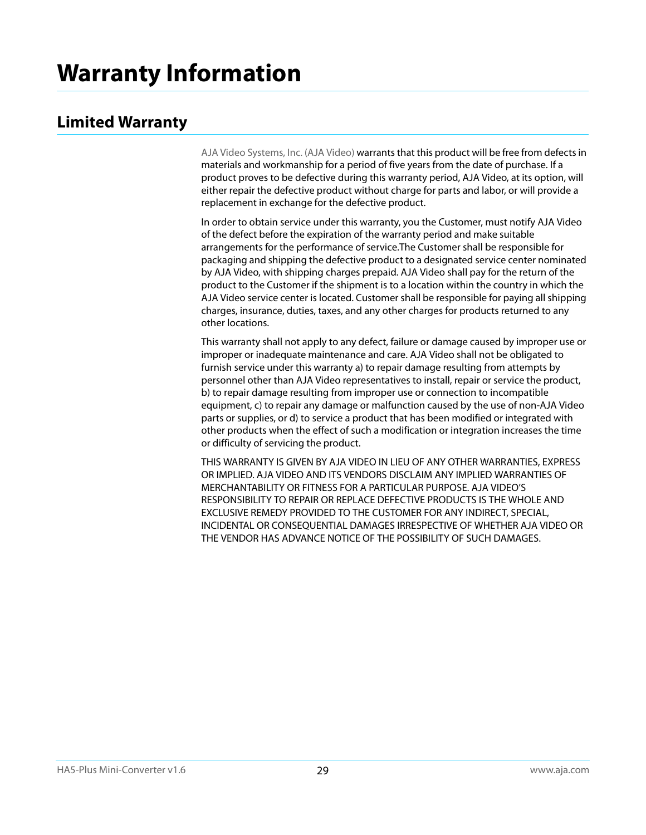## <span id="page-28-1"></span><span id="page-28-0"></span>**Limited Warranty**

AJA Video Systems, Inc. (AJA Video) warrants that this product will be free from defects in materials and workmanship for a period of five years from the date of purchase. If a product proves to be defective during this warranty period, AJA Video, at its option, will either repair the defective product without charge for parts and labor, or will provide a replacement in exchange for the defective product.

In order to obtain service under this warranty, you the Customer, must notify AJA Video of the defect before the expiration of the warranty period and make suitable arrangements for the performance of service.The Customer shall be responsible for packaging and shipping the defective product to a designated service center nominated by AJA Video, with shipping charges prepaid. AJA Video shall pay for the return of the product to the Customer if the shipment is to a location within the country in which the AJA Video service center is located. Customer shall be responsible for paying all shipping charges, insurance, duties, taxes, and any other charges for products returned to any other locations.

This warranty shall not apply to any defect, failure or damage caused by improper use or improper or inadequate maintenance and care. AJA Video shall not be obligated to furnish service under this warranty a) to repair damage resulting from attempts by personnel other than AJA Video representatives to install, repair or service the product, b) to repair damage resulting from improper use or connection to incompatible equipment, c) to repair any damage or malfunction caused by the use of non-AJA Video parts or supplies, or d) to service a product that has been modified or integrated with other products when the effect of such a modification or integration increases the time or difficulty of servicing the product.

THIS WARRANTY IS GIVEN BY AJA VIDEO IN LIEU OF ANY OTHER WARRANTIES, EXPRESS OR IMPLIED. AJA VIDEO AND ITS VENDORS DISCLAIM ANY IMPLIED WARRANTIES OF MERCHANTABILITY OR FITNESS FOR A PARTICULAR PURPOSE. AJA VIDEO'S RESPONSIBILITY TO REPAIR OR REPLACE DEFECTIVE PRODUCTS IS THE WHOLE AND EXCLUSIVE REMEDY PROVIDED TO THE CUSTOMER FOR ANY INDIRECT, SPECIAL, INCIDENTAL OR CONSEQUENTIAL DAMAGES IRRESPECTIVE OF WHETHER AJA VIDEO OR THE VENDOR HAS ADVANCE NOTICE OF THE POSSIBILITY OF SUCH DAMAGES.